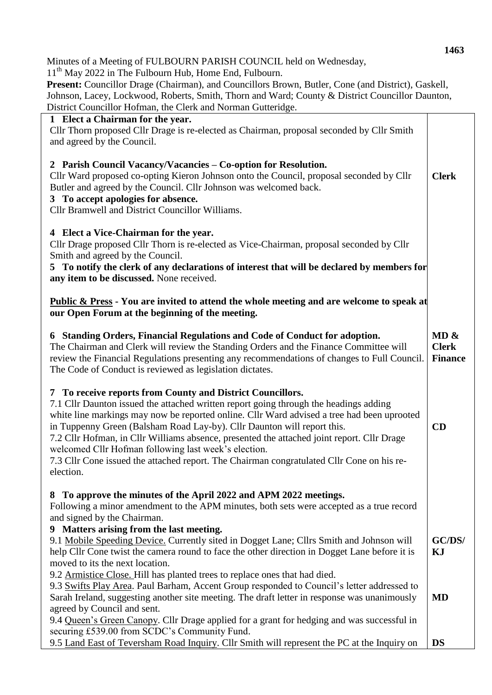Minutes of a Meeting of FULBOURN PARISH COUNCIL held on Wednesday,

11<sup>th</sup> May 2022 in The Fulbourn Hub, Home End, Fulbourn.

Present: Councillor Drage (Chairman), and Councillors Brown, Butler, Cone (and District), Gaskell, Johnson, Lacey, Lockwood, Roberts, Smith, Thorn and Ward; County & District Councillor Daunton, District Councillor Hofman, the Clerk and Norman Gutteridge.

| District Councillor Homman, the Ciclix and Norman Guitchuge.                                                                                                                                                                                                                                                                                                                                                                                                                                                                                                                                 |                                        |
|----------------------------------------------------------------------------------------------------------------------------------------------------------------------------------------------------------------------------------------------------------------------------------------------------------------------------------------------------------------------------------------------------------------------------------------------------------------------------------------------------------------------------------------------------------------------------------------------|----------------------------------------|
| 1 Elect a Chairman for the year.<br>Cllr Thorn proposed Cllr Drage is re-elected as Chairman, proposal seconded by Cllr Smith<br>and agreed by the Council.                                                                                                                                                                                                                                                                                                                                                                                                                                  |                                        |
| 2 Parish Council Vacancy/Vacancies – Co-option for Resolution.<br>Cllr Ward proposed co-opting Kieron Johnson onto the Council, proposal seconded by Cllr<br>Butler and agreed by the Council. Cllr Johnson was welcomed back.<br>3 To accept apologies for absence.<br><b>Cllr Bramwell and District Councillor Williams.</b>                                                                                                                                                                                                                                                               | <b>Clerk</b>                           |
| 4 Elect a Vice-Chairman for the year.<br>Cllr Drage proposed Cllr Thorn is re-elected as Vice-Chairman, proposal seconded by Cllr<br>Smith and agreed by the Council.<br>5 To notify the clerk of any declarations of interest that will be declared by members for<br>any item to be discussed. None received.                                                                                                                                                                                                                                                                              |                                        |
| <b>Public &amp; Press</b> - You are invited to attend the whole meeting and are welcome to speak at<br>our Open Forum at the beginning of the meeting.                                                                                                                                                                                                                                                                                                                                                                                                                                       |                                        |
| 6 Standing Orders, Financial Regulations and Code of Conduct for adoption.<br>The Chairman and Clerk will review the Standing Orders and the Finance Committee will<br>review the Financial Regulations presenting any recommendations of changes to Full Council.<br>The Code of Conduct is reviewed as legislation dictates.                                                                                                                                                                                                                                                               | MD &<br><b>Clerk</b><br><b>Finance</b> |
| 7 To receive reports from County and District Councillors.<br>7.1 Cllr Daunton issued the attached written report going through the headings adding<br>white line markings may now be reported online. Cllr Ward advised a tree had been uprooted<br>in Tuppenny Green (Balsham Road Lay-by). Cllr Daunton will report this.<br>7.2 Cllr Hofman, in Cllr Williams absence, presented the attached joint report. Cllr Drage<br>welcomed Cllr Hofman following last week's election.<br>7.3 Cllr Cone issued the attached report. The Chairman congratulated Cllr Cone on his re-<br>election. |                                        |
| 8 To approve the minutes of the April 2022 and APM 2022 meetings.<br>Following a minor amendment to the APM minutes, both sets were accepted as a true record<br>and signed by the Chairman.                                                                                                                                                                                                                                                                                                                                                                                                 |                                        |
| 9 Matters arising from the last meeting.<br>9.1 Mobile Speeding Device. Currently sited in Dogget Lane; Cllrs Smith and Johnson will<br>help Cllr Cone twist the camera round to face the other direction in Dogget Lane before it is<br>moved to its the next location.                                                                                                                                                                                                                                                                                                                     | GC/DS/<br>KJ                           |
| 9.2 Armistice Close. Hill has planted trees to replace ones that had died.<br>9.3 Swifts Play Area. Paul Barham, Accent Group responded to Council's letter addressed to<br>Sarah Ireland, suggesting another site meeting. The draft letter in response was unanimously<br>agreed by Council and sent.                                                                                                                                                                                                                                                                                      | <b>MD</b>                              |
| 9.4 Queen's Green Canopy. Cllr Drage applied for a grant for hedging and was successful in<br>securing £539.00 from SCDC's Community Fund.<br>9.5 Land East of Teversham Road Inquiry. Cllr Smith will represent the PC at the Inquiry on                                                                                                                                                                                                                                                                                                                                                    | <b>DS</b>                              |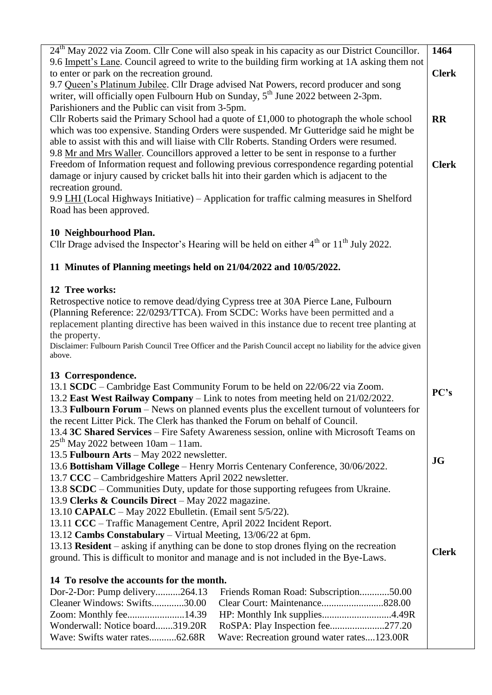| 24 <sup>th</sup> May 2022 via Zoom. Cllr Cone will also speak in his capacity as our District Councillor.<br>9.6 Impett's Lane. Council agreed to write to the building firm working at 1A asking them not | 1464         |
|------------------------------------------------------------------------------------------------------------------------------------------------------------------------------------------------------------|--------------|
| to enter or park on the recreation ground.                                                                                                                                                                 | <b>Clerk</b> |
| 9.7 Queen's Platinum Jubilee. Cllr Drage advised Nat Powers, record producer and song<br>writer, will officially open Fulbourn Hub on Sunday, $5th$ June 2022 between 2-3pm.                               |              |
| Parishioners and the Public can visit from 3-5pm.                                                                                                                                                          |              |
| Cllr Roberts said the Primary School had a quote of $£1,000$ to photograph the whole school<br>which was too expensive. Standing Orders were suspended. Mr Gutteridge said he might be                     | <b>RR</b>    |
| able to assist with this and will liaise with Cllr Roberts. Standing Orders were resumed.                                                                                                                  |              |
| 9.8 Mr and Mrs Waller. Councillors approved a letter to be sent in response to a further<br>Freedom of Information request and following previous correspondence regarding potential                       | <b>Clerk</b> |
| damage or injury caused by cricket balls hit into their garden which is adjacent to the                                                                                                                    |              |
| recreation ground.<br>9.9 LHI (Local Highways Initiative) – Application for traffic calming measures in Shelford                                                                                           |              |
| Road has been approved.                                                                                                                                                                                    |              |
| 10 Neighbourhood Plan.                                                                                                                                                                                     |              |
| Cllr Drage advised the Inspector's Hearing will be held on either $4th$ or $11th$ July 2022.                                                                                                               |              |
| 11 Minutes of Planning meetings held on 21/04/2022 and 10/05/2022.                                                                                                                                         |              |
| 12 Tree works:                                                                                                                                                                                             |              |
| Retrospective notice to remove dead/dying Cypress tree at 30A Pierce Lane, Fulbourn<br>(Planning Reference: 22/0293/TTCA). From SCDC: Works have been permitted and a                                      |              |
| replacement planting directive has been waived in this instance due to recent tree planting at                                                                                                             |              |
| the property.<br>Disclaimer: Fulbourn Parish Council Tree Officer and the Parish Council accept no liability for the advice given                                                                          |              |
| above.                                                                                                                                                                                                     |              |
| 13 Correspondence.                                                                                                                                                                                         |              |
| 13.1 SCDC – Cambridge East Community Forum to be held on 22/06/22 via Zoom.<br>13.2 East West Railway Company - Link to notes from meeting held on 21/02/2022.                                             | PC's         |
| 13.3 Fulbourn Forum - News on planned events plus the excellent turnout of volunteers for                                                                                                                  |              |
| the recent Litter Pick. The Clerk has thanked the Forum on behalf of Council.<br>13.4 3C Shared Services - Fire Safety Awareness session, online with Microsoft Teams on                                   |              |
| $25th$ May 2022 between 10am - 11am.                                                                                                                                                                       |              |
| 13.5 Fulbourn Arts - May 2022 newsletter.<br>13.6 Bottisham Village College – Henry Morris Centenary Conference, 30/06/2022.                                                                               | <b>JG</b>    |
| 13.7 CCC – Cambridgeshire Matters April 2022 newsletter.                                                                                                                                                   |              |
| 13.8 SCDC – Communities Duty, update for those supporting refugees from Ukraine.                                                                                                                           |              |
| 13.9 Clerks & Councils Direct - May 2022 magazine.<br>13.10 CAPALC - May 2022 Ebulletin. (Email sent 5/5/22).                                                                                              |              |
| 13.11 CCC – Traffic Management Centre, April 2022 Incident Report.                                                                                                                                         |              |
| 13.12 Cambs Constabulary - Virtual Meeting, 13/06/22 at 6pm.<br>13.13 <b>Resident</b> – asking if anything can be done to stop drones flying on the recreation                                             |              |
| ground. This is difficult to monitor and manage and is not included in the Bye-Laws.                                                                                                                       | <b>Clerk</b> |
| 14 To resolve the accounts for the month.                                                                                                                                                                  |              |
| Dor-2-Dor: Pump delivery264.13<br>Friends Roman Road: Subscription50.00                                                                                                                                    |              |
| Cleaner Windows: Swifts30.00<br>Zoom: Monthly fee14.39                                                                                                                                                     |              |
| Wonderwall: Notice board319.20R<br>RoSPA: Play Inspection fee277.20                                                                                                                                        |              |
| Wave: Swifts water rates62.68R<br>Wave: Recreation ground water rates123.00R                                                                                                                               |              |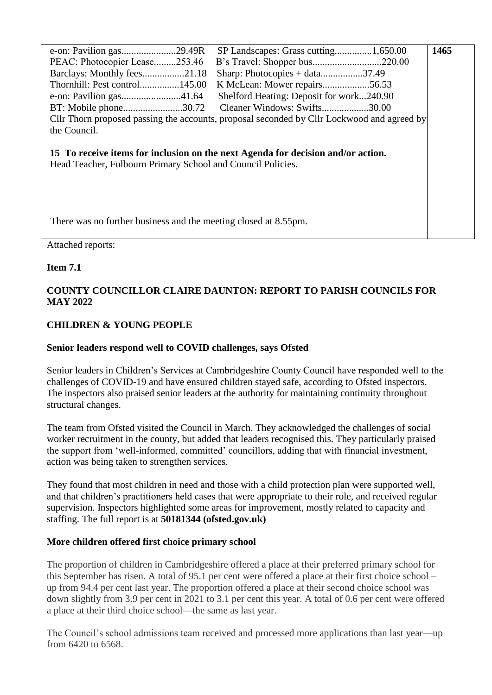|                                                                                                                                                 |                                                                                            | 1465 |  |
|-------------------------------------------------------------------------------------------------------------------------------------------------|--------------------------------------------------------------------------------------------|------|--|
| PEAC: Photocopier Lease253.46                                                                                                                   |                                                                                            |      |  |
| Barclays: Monthly fees21.18                                                                                                                     | Sharp: Photocopies + data37.49                                                             |      |  |
| Thornhill: Pest control145.00                                                                                                                   | K McLean: Mower repairs56.53                                                               |      |  |
|                                                                                                                                                 | Shelford Heating: Deposit for work240.90                                                   |      |  |
| BT: Mobile phone30.72 Cleaner Windows: Swifts30.00                                                                                              |                                                                                            |      |  |
|                                                                                                                                                 | Cllr Thorn proposed passing the accounts, proposal seconded by Cllr Lockwood and agreed by |      |  |
| the Council.                                                                                                                                    |                                                                                            |      |  |
| 15 To receive items for inclusion on the next Agenda for decision and/or action.<br>Head Teacher, Fulbourn Primary School and Council Policies. |                                                                                            |      |  |
| There was no further business and the meeting closed at 8.55pm.                                                                                 |                                                                                            |      |  |

Attached reports:

### **Item 7.1**

## **COUNTY COUNCILLOR CLAIRE DAUNTON: REPORT TO PARISH COUNCILS FOR MAY 2022**

## **CHILDREN & YOUNG PEOPLE**

## **Senior leaders respond well to COVID challenges, says Ofsted**

Senior leaders in Children's Services at Cambridgeshire County Council have responded well to the challenges of COVID-19 and have ensured children stayed safe, according to Ofsted inspectors. The inspectors also praised senior leaders at the authority for maintaining continuity throughout structural changes.

The team from Ofsted visited the Council in March. They acknowledged the challenges of social worker recruitment in the county, but added that leaders recognised this. They particularly praised the support from 'well-informed, committed' councillors, adding that with financial investment, action was being taken to strengthen services.

They found that most children in need and those with a child protection plan were supported well, and that children's practitioners held cases that were appropriate to their role, and received regular supervision. Inspectors highlighted some areas for improvement, mostly related to capacity and staffing. The full report is at **50181344 (ofsted.gov.uk)** 

### **More children offered first choice primary school**

The proportion of children in Cambridgeshire offered a place at their preferred primary school for this September has risen. A total of 95.1 per cent were offered a place at their first choice school – up from 94.4 per cent last year. The proportion offered a place at their second choice school was down slightly from 3.9 per cent in 2021 to 3.1 per cent this year. A total of 0.6 per cent were offered a place at their third choice school—the same as last year.

The Council's school admissions team received and processed more applications than last year—up from 6420 to 6568.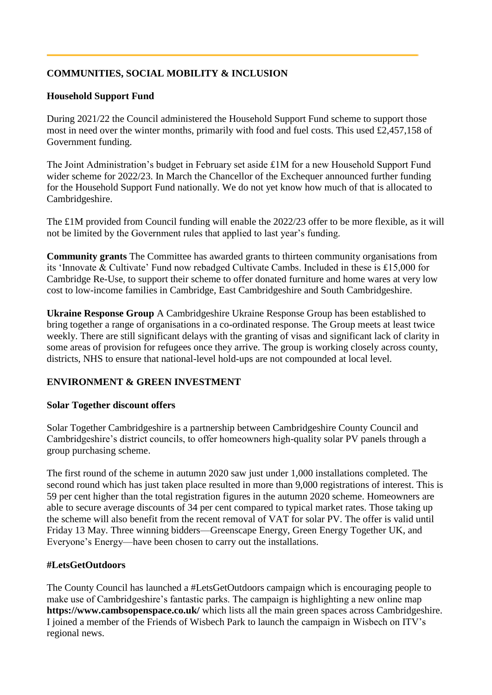# **COMMUNITIES, SOCIAL MOBILITY & INCLUSION**

## **Household Support Fund**

During 2021/22 the Council administered the Household Support Fund scheme to support those most in need over the winter months, primarily with food and fuel costs. This used £2,457,158 of Government funding.

The Joint Administration's budget in February set aside £1M for a new Household Support Fund wider scheme for 2022/23. In March the Chancellor of the Exchequer announced further funding for the Household Support Fund nationally. We do not yet know how much of that is allocated to Cambridgeshire.

The £1M provided from Council funding will enable the 2022/23 offer to be more flexible, as it will not be limited by the Government rules that applied to last year's funding.

**Community grants** The Committee has awarded grants to thirteen community organisations from its 'Innovate & Cultivate' Fund now rebadged Cultivate Cambs. Included in these is £15,000 for Cambridge Re-Use, to support their scheme to offer donated furniture and home wares at very low cost to low-income families in Cambridge, East Cambridgeshire and South Cambridgeshire.

**Ukraine Response Group** A Cambridgeshire Ukraine Response Group has been established to bring together a range of organisations in a co-ordinated response. The Group meets at least twice weekly. There are still significant delays with the granting of visas and significant lack of clarity in some areas of provision for refugees once they arrive. The group is working closely across county, districts, NHS to ensure that national-level hold-ups are not compounded at local level.

### **ENVIRONMENT & GREEN INVESTMENT**

### **Solar Together discount offers**

Solar Together Cambridgeshire is a partnership between Cambridgeshire County Council and Cambridgeshire's district councils, to offer homeowners high-quality solar PV panels through a group purchasing scheme.

The first round of the scheme in autumn 2020 saw just under 1,000 installations completed. The second round which has just taken place resulted in more than 9,000 registrations of interest. This is 59 per cent higher than the total registration figures in the autumn 2020 scheme. Homeowners are able to secure average discounts of 34 per cent compared to typical market rates. Those taking up the scheme will also benefit from the recent removal of VAT for solar PV. The offer is valid until Friday 13 May. Three winning bidders—Greenscape Energy, Green Energy Together UK, and Everyone's Energy—have been chosen to carry out the installations.

### **#LetsGetOutdoors**

The County Council has launched a #LetsGetOutdoors campaign which is encouraging people to make use of Cambridgeshire's fantastic parks. The campaign is highlighting a new online map **https://www.cambsopenspace.co.uk/** which lists all the main green spaces across Cambridgeshire. I joined a member of the Friends of Wisbech Park to launch the campaign in Wisbech on ITV's regional news.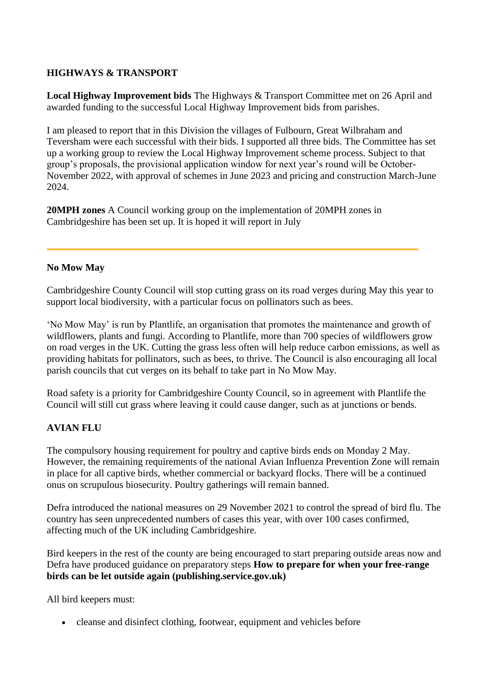## **HIGHWAYS & TRANSPORT**

**Local Highway Improvement bids** The Highways & Transport Committee met on 26 April and awarded funding to the successful Local Highway Improvement bids from parishes.

I am pleased to report that in this Division the villages of Fulbourn, Great Wilbraham and Teversham were each successful with their bids. I supported all three bids. The Committee has set up a working group to review the Local Highway Improvement scheme process. Subject to that group's proposals, the provisional application window for next year's round will be October-November 2022, with approval of schemes in June 2023 and pricing and construction March-June 2024.

**20MPH zones** A Council working group on the implementation of 20MPH zones in Cambridgeshire has been set up. It is hoped it will report in July

### **No Mow May**

Cambridgeshire County Council will stop cutting grass on its road verges during May this year to support local biodiversity, with a particular focus on pollinators such as bees.

'No Mow May' is run by Plantlife, an organisation that promotes the maintenance and growth of wildflowers, plants and fungi. According to Plantlife, more than 700 species of wildflowers grow on road verges in the UK. Cutting the grass less often will help reduce carbon emissions, as well as providing habitats for pollinators, such as bees, to thrive. The Council is also encouraging all local parish councils that cut verges on its behalf to take part in No Mow May.

Road safety is a priority for Cambridgeshire County Council, so in agreement with Plantlife the Council will still cut grass where leaving it could cause danger, such as at junctions or bends.

### **AVIAN FLU**

The compulsory housing requirement for poultry and captive birds ends on Monday 2 May. However, the remaining requirements of the national Avian Influenza Prevention Zone will remain in place for all captive birds, whether commercial or backyard flocks. There will be a continued onus on scrupulous biosecurity. Poultry gatherings will remain banned.

Defra introduced the national measures on 29 November 2021 to control the spread of bird flu. The country has seen unprecedented numbers of cases this year, with over 100 cases confirmed, affecting much of the UK including Cambridgeshire.

Bird keepers in the rest of the county are being encouraged to start preparing outside areas now and Defra have produced guidance on preparatory steps **How to prepare for when your free-range birds can be let outside again (publishing.service.gov.uk)** 

All bird keepers must:

cleanse and disinfect clothing, footwear, equipment and vehicles before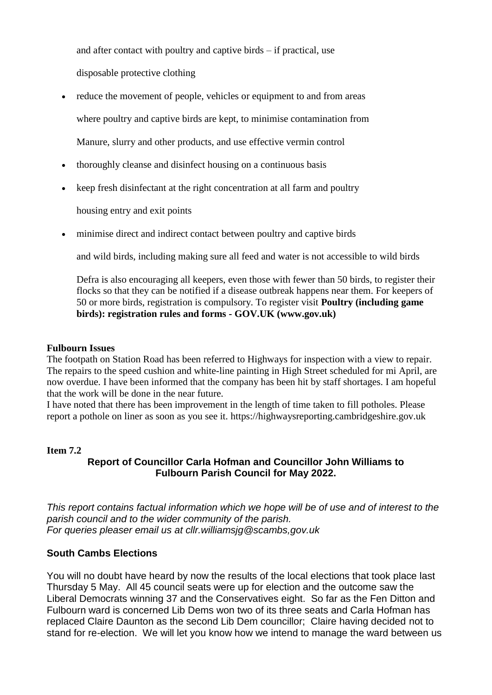and after contact with poultry and captive birds – if practical, use disposable protective clothing

- reduce the movement of people, vehicles or equipment to and from areas where poultry and captive birds are kept, to minimise contamination from Manure, slurry and other products, and use effective vermin control
- thoroughly cleanse and disinfect housing on a continuous basis
- keep fresh disinfectant at the right concentration at all farm and poultry

housing entry and exit points

minimise direct and indirect contact between poultry and captive birds

and wild birds, including making sure all feed and water is not accessible to wild birds

Defra is also encouraging all keepers, even those with fewer than 50 birds, to register their flocks so that they can be notified if a disease outbreak happens near them. For keepers of 50 or more birds, registration is compulsory. To register visit **Poultry (including game birds): registration rules and forms - GOV.UK (www.gov.uk)** 

#### **Fulbourn Issues**

The footpath on Station Road has been referred to Highways for inspection with a view to repair. The repairs to the speed cushion and white-line painting in High Street scheduled for mi April, are now overdue. I have been informed that the company has been hit by staff shortages. I am hopeful that the work will be done in the near future.

I have noted that there has been improvement in the length of time taken to fill potholes. Please report a pothole on liner as soon as you see it. https://highwaysreporting.cambridgeshire.gov.uk

#### **Item 7.2**

### **Report of Councillor Carla Hofman and Councillor John Williams to Fulbourn Parish Council for May 2022.**

*This report contains factual information which we hope will be of use and of interest to the parish council and to the wider community of the parish. For queries pleaser email us at cllr.williamsjg@scambs,gov.uk*

### **South Cambs Elections**

You will no doubt have heard by now the results of the local elections that took place last Thursday 5 May. All 45 council seats were up for election and the outcome saw the Liberal Democrats winning 37 and the Conservatives eight. So far as the Fen Ditton and Fulbourn ward is concerned Lib Dems won two of its three seats and Carla Hofman has replaced Claire Daunton as the second Lib Dem councillor; Claire having decided not to stand for re-election. We will let you know how we intend to manage the ward between us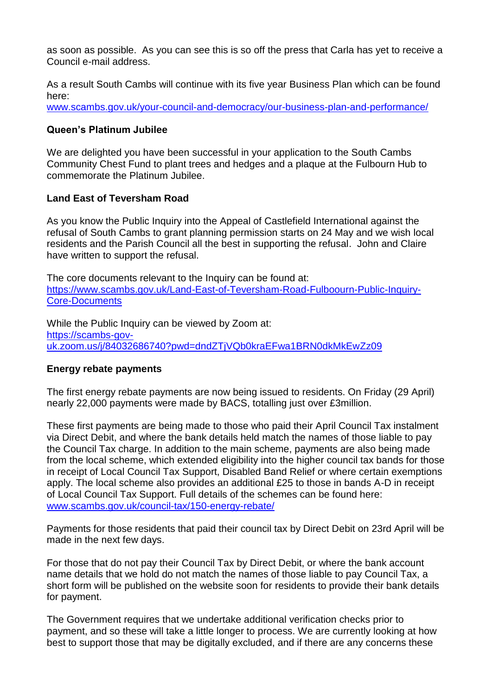as soon as possible. As you can see this is so off the press that Carla has yet to receive a Council e-mail address.

As a result South Cambs will continue with its five year Business Plan which can be found here:

[www.scambs.gov.uk/your-council-and-democracy/our-business-plan-and-performance/](http://www.scambs.gov.uk/your-council-and-democracy/our-business-plan-and-performance/)

### **Queen's Platinum Jubilee**

We are delighted you have been successful in your application to the South Cambs Community Chest Fund to plant trees and hedges and a plaque at the Fulbourn Hub to commemorate the Platinum Jubilee.

### **Land East of Teversham Road**

As you know the Public Inquiry into the Appeal of Castlefield International against the refusal of South Cambs to grant planning permission starts on 24 May and we wish local residents and the Parish Council all the best in supporting the refusal. John and Claire have written to support the refusal.

The core documents relevant to the Inquiry can be found at: [https://www.scambs.gov.uk/Land-East-of-Teversham-Road-Fulboourn-Public-Inquiry-](https://www.scambs.gov.uk/Land-East-of-Teversham-Road-Fulboourn-Public-Inquiry-Core-Documents)[Core-Documents](https://www.scambs.gov.uk/Land-East-of-Teversham-Road-Fulboourn-Public-Inquiry-Core-Documents)

While the Public Inquiry can be viewed by Zoom at: [https://scambs-gov](https://scambs-gov-uk.zoom.us/j/84032686740?pwd=dndZTjVQb0kraEFwa1BRN0dkMkEwZz09)[uk.zoom.us/j/84032686740?pwd=dndZTjVQb0kraEFwa1BRN0dkMkEwZz09](https://scambs-gov-uk.zoom.us/j/84032686740?pwd=dndZTjVQb0kraEFwa1BRN0dkMkEwZz09)

### **Energy rebate payments**

The first energy rebate payments are now being issued to residents. On Friday (29 April) nearly 22,000 payments were made by BACS, totalling just over £3million.

These first payments are being made to those who paid their April Council Tax instalment via Direct Debit, and where the bank details held match the names of those liable to pay the Council Tax charge. In addition to the main scheme, payments are also being made from the local scheme, which extended eligibility into the higher council tax bands for those in receipt of Local Council Tax Support, Disabled Band Relief or where certain exemptions apply. The local scheme also provides an additional £25 to those in bands A-D in receipt of Local Council Tax Support. Full details of the schemes can be found here: [www.scambs.gov.uk/council-tax/150-energy-rebate/](http://www.scambs.gov.uk/council-tax/150-energy-rebate/)

Payments for those residents that paid their council tax by Direct Debit on 23rd April will be made in the next few days.

For those that do not pay their Council Tax by Direct Debit, or where the bank account name details that we hold do not match the names of those liable to pay Council Tax, a short form will be published on the website soon for residents to provide their bank details for payment.

The Government requires that we undertake additional verification checks prior to payment, and so these will take a little longer to process. We are currently looking at how best to support those that may be digitally excluded, and if there are any concerns these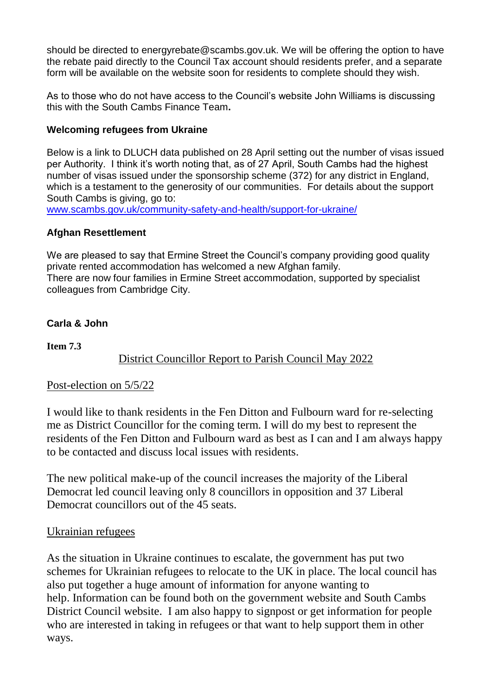should be directed to energyrebate@scambs.gov.uk. We will be offering the option to have the rebate paid directly to the Council Tax account should residents prefer, and a separate form will be available on the website soon for residents to complete should they wish.

As to those who do not have access to the Council's website John Williams is discussing this with the South Cambs Finance Team**.**

# **Welcoming refugees from Ukraine**

Below is a link to DLUCH data published on 28 April setting out the number of visas issued per Authority. I think it's worth noting that, as of 27 April, South Cambs had the highest number of visas issued under the sponsorship scheme (372) for any district in England, which is a testament to the generosity of our communities. For details about the support South Cambs is giving, go to:

[www.scambs.gov.uk/community-safety-and-health/support-for-ukraine/](http://www.scambs.gov.uk/community-safety-and-health/support-for-ukraine/)

## **Afghan Resettlement**

We are pleased to say that Ermine Street the Council's company providing good quality private rented accommodation has welcomed a new Afghan family. There are now four families in Ermine Street accommodation, supported by specialist colleagues from Cambridge City.

# **Carla & John**

**Item 7.3**

# District Councillor Report to Parish Council May 2022

## Post-election on 5/5/22

I would like to thank residents in the Fen Ditton and Fulbourn ward for re-selecting me as District Councillor for the coming term. I will do my best to represent the residents of the Fen Ditton and Fulbourn ward as best as I can and I am always happy to be contacted and discuss local issues with residents.

The new political make-up of the council increases the majority of the Liberal Democrat led council leaving only 8 councillors in opposition and 37 Liberal Democrat councillors out of the 45 seats.

# Ukrainian refugees

As the situation in Ukraine continues to escalate, the government has put two schemes for Ukrainian refugees to relocate to the UK in place. The local council has also put together a huge amount of information for anyone wanting to help. Information can be found both on the government website and South Cambs District Council website. I am also happy to signpost or get information for people who are interested in taking in refugees or that want to help support them in other ways.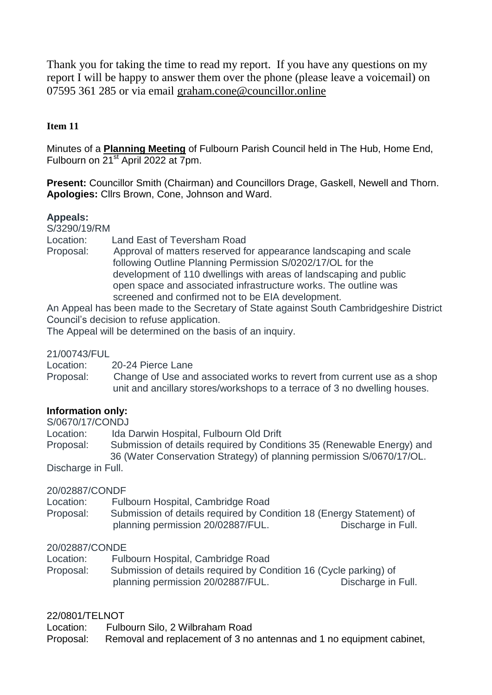Thank you for taking the time to read my report. If you have any questions on my report I will be happy to answer them over the phone (please leave a voicemail) on 07595 361 285 or via email [graham.cone@councillor.online](mailto:graham.cone@councillor.online)

# **Item 11**

Minutes of a **Planning Meeting** of Fulbourn Parish Council held in The Hub, Home End, Fulbourn on 21<sup>st</sup> April 2022 at 7pm.

**Present:** Councillor Smith (Chairman) and Councillors Drage, Gaskell, Newell and Thorn. **Apologies:** Cllrs Brown, Cone, Johnson and Ward.

## **Appeals:**

S/3290/19/RM

Location: Land East of Teversham Road

Proposal: Approval of matters reserved for appearance landscaping and scale following Outline Planning Permission S/0202/17/OL for the development of 110 dwellings with areas of landscaping and public open space and associated infrastructure works. The outline was screened and confirmed not to be EIA development.

An Appeal has been made to the Secretary of State against South Cambridgeshire District Council's decision to refuse application.

The Appeal will be determined on the basis of an inquiry.

### 21/00743/FUL

Location: 20-24 Pierce Lane

Proposal: Change of Use and associated works to revert from current use as a shop unit and ancillary stores/workshops to a terrace of 3 no dwelling houses.

## **Information only:**

S/0670/17/CONDJ

Location: Ida Darwin Hospital, Fulbourn Old Drift

Proposal: Submission of details required by Conditions 35 (Renewable Energy) and 36 (Water Conservation Strategy) of planning permission S/0670/17/OL. Discharge in Full.

## 20/02887/CONDF

| Location: | Fulbourn Hospital, Cambridge Road                                    |                    |
|-----------|----------------------------------------------------------------------|--------------------|
| Proposal: | Submission of details required by Condition 18 (Energy Statement) of |                    |
|           | planning permission 20/02887/FUL.                                    | Discharge in Full. |

### 20/02887/CONDE

| Location: | Fulbourn Hospital, Cambridge Road                                 |                    |
|-----------|-------------------------------------------------------------------|--------------------|
| Proposal: | Submission of details required by Condition 16 (Cycle parking) of |                    |
|           | planning permission 20/02887/FUL.                                 | Discharge in Full. |

### 22/0801/TELNOT

Location: Fulbourn Silo, 2 Wilbraham Road

Proposal: Removal and replacement of 3 no antennas and 1 no equipment cabinet,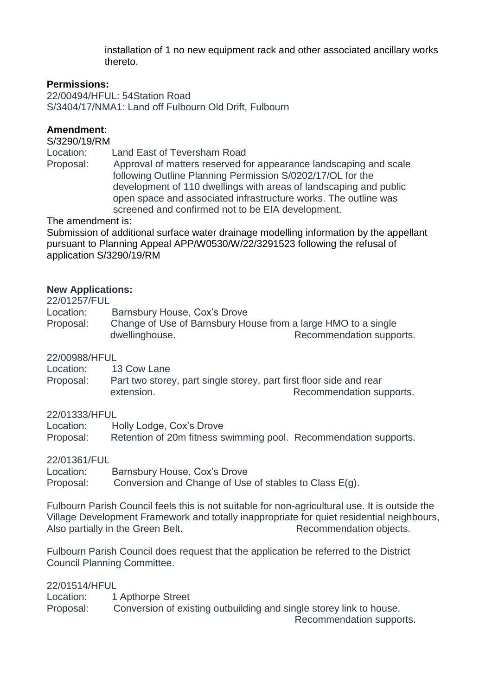installation of 1 no new equipment rack and other associated ancillary works thereto.

### **Permissions:**

22/00494/HFUL: 54Station Road S/3404/17/NMA1: Land off Fulbourn Old Drift, Fulbourn

## **Amendment:**

S/3290/19/RM

Location: Land East of Teversham Road

Proposal: Approval of matters reserved for appearance landscaping and scale following Outline Planning Permission S/0202/17/OL for the development of 110 dwellings with areas of landscaping and public open space and associated infrastructure works. The outline was screened and confirmed not to be EIA development.

The amendment is:

Submission of additional surface water drainage modelling information by the appellant pursuant to Planning Appeal APP/W0530/W/22/3291523 following the refusal of application S/3290/19/RM

### **New Applications:**

22/01257/FUL Location: Barnsbury House, Cox's Drove Proposal: Change of Use of Barnsbury House from a large HMO to a single dwellinghouse. The recommendation supports.

### 22/00988/HFUL

Location: 13 Cow Lane Proposal: Part two storey, part single storey, part first floor side and rear extension. The commendation supports.

22/01333/HFUL

Location: Holly Lodge, Cox's Drove Proposal: Retention of 20m fitness swimming pool. Recommendation supports.

22/01361/FUL

Location: Barnsbury House, Cox's Drove Proposal: Conversion and Change of Use of stables to Class E(g).

Fulbourn Parish Council feels this is not suitable for non-agricultural use. It is outside the Village Development Framework and totally inappropriate for quiet residential neighbours, Also partially in the Green Belt. Recommendation objects.

Fulbourn Parish Council does request that the application be referred to the District Council Planning Committee.

22/01514/HFUL

Location: 1 Apthorpe Street Proposal: Conversion of existing outbuilding and single storey link to house. Recommendation supports.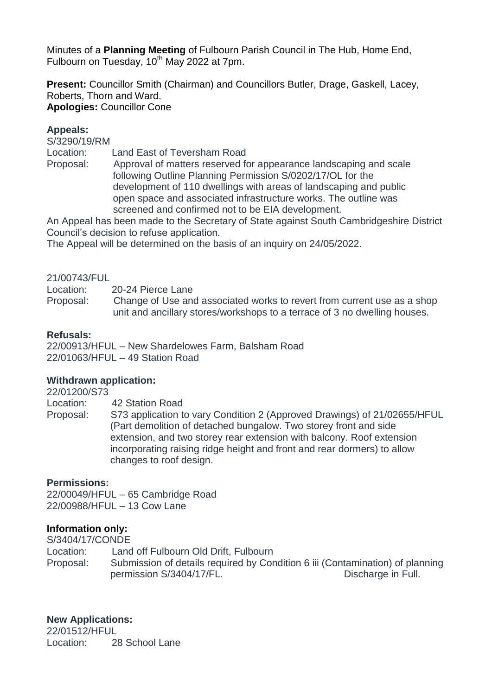Minutes of a **Planning Meeting** of Fulbourn Parish Council in The Hub, Home End, Fulbourn on Tuesday,  $10^{th}$  May 2022 at 7pm.

**Present:** Councillor Smith (Chairman) and Councillors Butler, Drage, Gaskell, Lacey, Roberts, Thorn and Ward. **Apologies:** Councillor Cone

### **Appeals:**

S/3290/19/RM

Location: Land East of Teversham Road

Proposal: Approval of matters reserved for appearance landscaping and scale following Outline Planning Permission S/0202/17/OL for the development of 110 dwellings with areas of landscaping and public open space and associated infrastructure works. The outline was screened and confirmed not to be EIA development.

An Appeal has been made to the Secretary of State against South Cambridgeshire District Council's decision to refuse application.

The Appeal will be determined on the basis of an inquiry on 24/05/2022.

### 21/00743/FUL

Location: 20-24 Pierce Lane

Proposal: Change of Use and associated works to revert from current use as a shop unit and ancillary stores/workshops to a terrace of 3 no dwelling houses.

### **Refusals:**

22/00913/HFUL – New Shardelowes Farm, Balsham Road 22/01063/HFUL – 49 Station Road

### **Withdrawn application:**

22/01200/S73

Location: 42 Station Road

Proposal: S73 application to vary Condition 2 (Approved Drawings) of 21/02655/HFUL (Part demolition of detached bungalow. Two storey front and side extension, and two storey rear extension with balcony. Roof extension incorporating raising ridge height and front and rear dormers) to allow changes to roof design.

### **Permissions:**

22/00049/HFUL – 65 Cambridge Road 22/00988/HFUL – 13 Cow Lane

### **Information only:**

S/3404/17/CONDE Location: Land off Fulbourn Old Drift, Fulbourn Proposal: Submission of details required by Condition 6 iii (Contamination) of planning permission S/3404/17/FL. Discharge in Full.

**New Applications:**

22/01512/HFUL Location: 28 School Lane